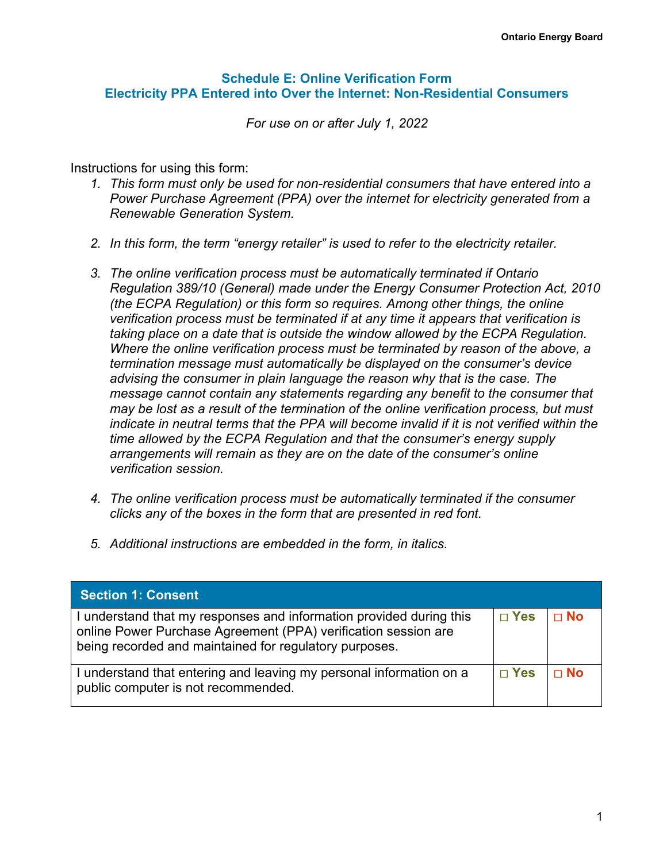#### **Schedule E: Online Verification Form Electricity PPA Entered into Over the Internet: Non-Residential Consumers**

*For use on or after July 1, 2022*

Instructions for using this form:

- *1. This form must only be used for non-residential consumers that have entered into a Power Purchase Agreement (PPA) over the internet for electricity generated from a Renewable Generation System.*
- *2. In this form, the term "energy retailer" is used to refer to the electricity retailer.*
- *3. The online verification process must be automatically terminated if Ontario Regulation 389/10 (General) made under the Energy Consumer Protection Act, 2010 (the ECPA Regulation) or this form so requires. Among other things, the online verification process must be terminated if at any time it appears that verification is taking place on a date that is outside the window allowed by the ECPA Regulation. Where the online verification process must be terminated by reason of the above, a termination message must automatically be displayed on the consumer's device advising the consumer in plain language the reason why that is the case. The message cannot contain any statements regarding any benefit to the consumer that may be lost as a result of the termination of the online verification process, but must indicate in neutral terms that the PPA will become invalid if it is not verified within the time allowed by the ECPA Regulation and that the consumer's energy supply arrangements will remain as they are on the date of the consumer's online verification session.*
- *4. The online verification process must be automatically terminated if the consumer clicks any of the boxes in the form that are presented in red font.*
- *5. Additional instructions are embedded in the form, in italics.*

| <b>Section 1: Consent</b>                                                                                                                                                                       |               |           |
|-------------------------------------------------------------------------------------------------------------------------------------------------------------------------------------------------|---------------|-----------|
| I understand that my responses and information provided during this<br>online Power Purchase Agreement (PPA) verification session are<br>being recorded and maintained for regulatory purposes. | $\sqcap$ Yes  | $\Box$ No |
| I understand that entering and leaving my personal information on a<br>public computer is not recommended.                                                                                      | $\square$ Yes | $\Box$ No |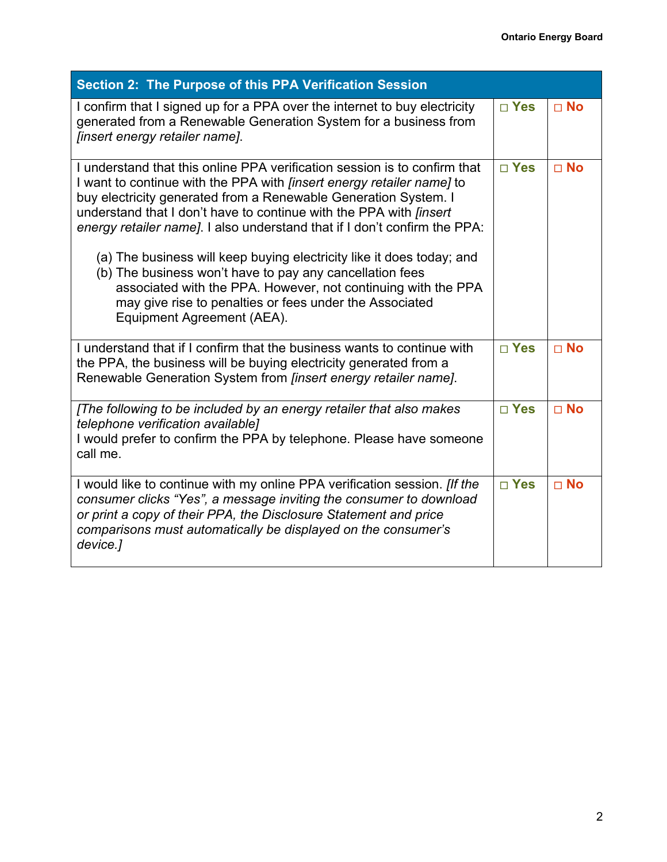| Section 2: The Purpose of this PPA Verification Session                                                                                                                                                                                                                                                                                                                                                                                                                                                                                                                                                                                                                               |               |              |
|---------------------------------------------------------------------------------------------------------------------------------------------------------------------------------------------------------------------------------------------------------------------------------------------------------------------------------------------------------------------------------------------------------------------------------------------------------------------------------------------------------------------------------------------------------------------------------------------------------------------------------------------------------------------------------------|---------------|--------------|
| I confirm that I signed up for a PPA over the internet to buy electricity<br>generated from a Renewable Generation System for a business from<br><i>linsert energy retailer name].</i>                                                                                                                                                                                                                                                                                                                                                                                                                                                                                                | $\square$ Yes | $\square$ No |
| I understand that this online PPA verification session is to confirm that<br>I want to continue with the PPA with <i>[insert energy retailer name]</i> to<br>buy electricity generated from a Renewable Generation System. I<br>understand that I don't have to continue with the PPA with <i>finsert</i><br>energy retailer name]. I also understand that if I don't confirm the PPA:<br>(a) The business will keep buying electricity like it does today; and<br>(b) The business won't have to pay any cancellation fees<br>associated with the PPA. However, not continuing with the PPA<br>may give rise to penalties or fees under the Associated<br>Equipment Agreement (AEA). | $\square$ Yes | $\square$ No |
| I understand that if I confirm that the business wants to continue with<br>the PPA, the business will be buying electricity generated from a<br>Renewable Generation System from <i>finsert energy retailer name</i> ].                                                                                                                                                                                                                                                                                                                                                                                                                                                               | $\square$ Yes | $\Box$ No    |
| [The following to be included by an energy retailer that also makes<br>telephone verification available]<br>I would prefer to confirm the PPA by telephone. Please have someone<br>call me.                                                                                                                                                                                                                                                                                                                                                                                                                                                                                           | $\square$ Yes | $\Box$ No    |
| I would like to continue with my online PPA verification session. <i>[If the</i><br>consumer clicks "Yes", a message inviting the consumer to download<br>or print a copy of their PPA, the Disclosure Statement and price<br>comparisons must automatically be displayed on the consumer's<br>device.]                                                                                                                                                                                                                                                                                                                                                                               | □ Yes         | $\Box$ No    |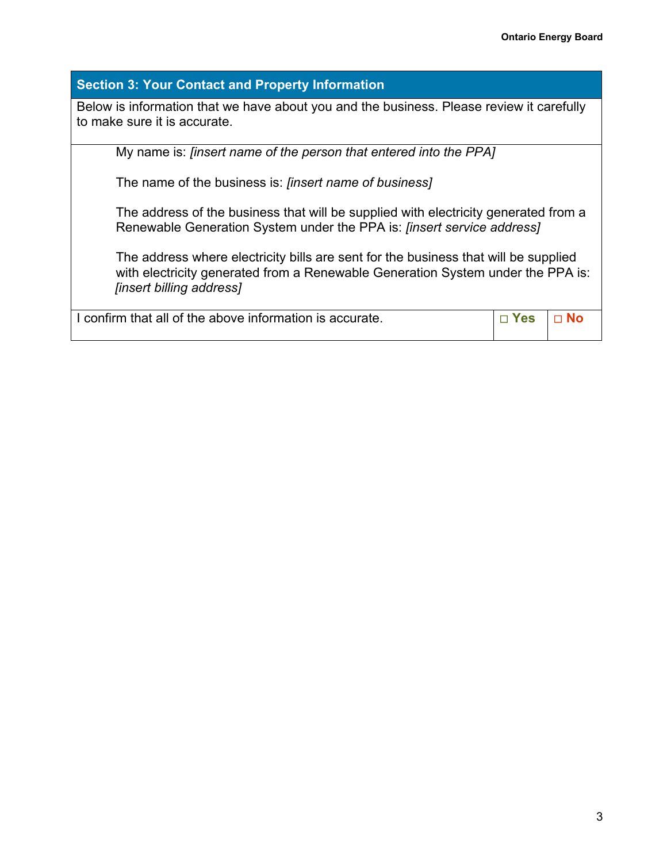## **Section 3: Your Contact and Property Information**

Below is information that we have about you and the business. Please review it carefully to make sure it is accurate.

My name is: *[insert name of the person that entered into the PPA]*

The name of the business is: *[insert name of business]*

The address of the business that will be supplied with electricity generated from a Renewable Generation System under the PPA is: *[insert service address]*

The address where electricity bills are sent for the business that will be supplied with electricity generated from a Renewable Generation System under the PPA is: *[insert billing address]*

| I I confirm that all of the above information is accurate. | $\Box$ Yes $\Box$ No |  |
|------------------------------------------------------------|----------------------|--|
|                                                            |                      |  |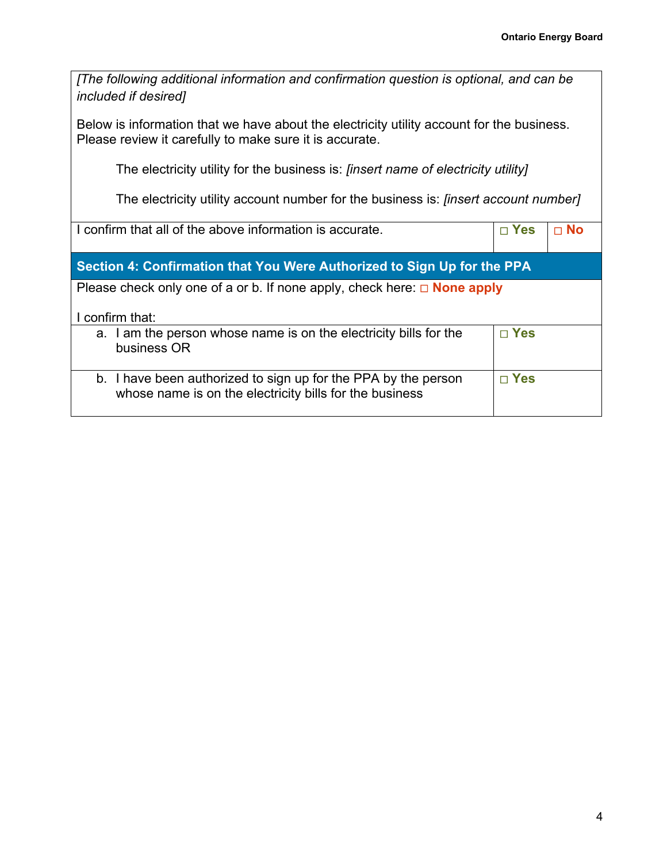| [The following additional information and confirmation question is optional, and can be<br><i>included if desired]</i>                               |               |           |
|------------------------------------------------------------------------------------------------------------------------------------------------------|---------------|-----------|
| Below is information that we have about the electricity utility account for the business.<br>Please review it carefully to make sure it is accurate. |               |           |
| The electricity utility for the business is: <i>[insert name of electricity utility]</i>                                                             |               |           |
| The electricity utility account number for the business is: <i>finsert account number</i>                                                            |               |           |
| I confirm that all of the above information is accurate.                                                                                             | $\square$ Yes | $\Box$ No |
| Section 4: Confirmation that You Were Authorized to Sign Up for the PPA                                                                              |               |           |
| Please check only one of a or b. If none apply, check here: $\Box$ <b>None apply</b>                                                                 |               |           |
|                                                                                                                                                      |               |           |
| I confirm that:                                                                                                                                      |               |           |
| I am the person whose name is on the electricity bills for the<br>a.<br>business OR                                                                  | $\square$ Yes |           |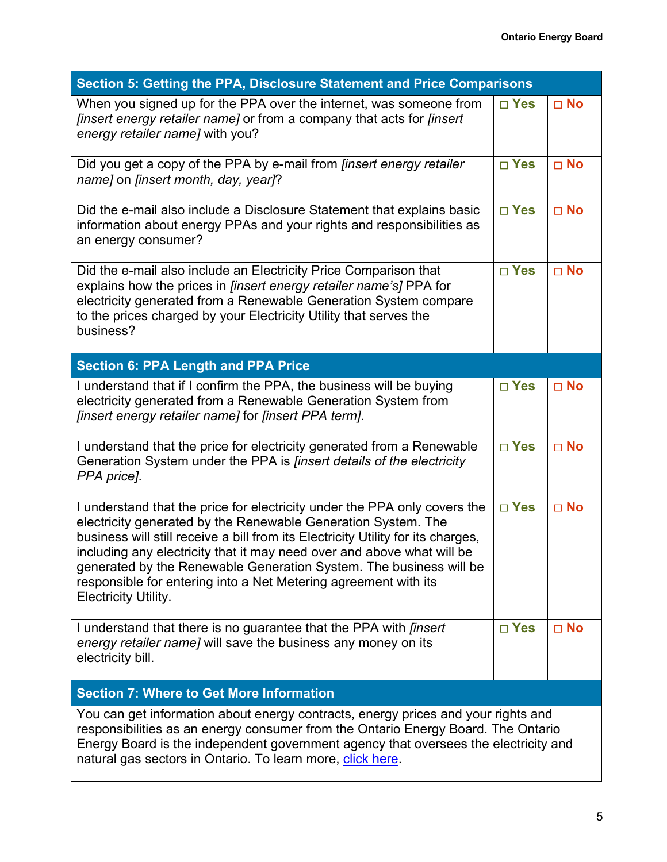| Section 5: Getting the PPA, Disclosure Statement and Price Comparisons                                                                                                                                                                                                                                                                                                                                                                                                           |               |              |  |
|----------------------------------------------------------------------------------------------------------------------------------------------------------------------------------------------------------------------------------------------------------------------------------------------------------------------------------------------------------------------------------------------------------------------------------------------------------------------------------|---------------|--------------|--|
| When you signed up for the PPA over the internet, was someone from<br><i>[insert energy retailer name]</i> or from a company that acts for <i>[insert</i> ]<br>energy retailer name] with you?                                                                                                                                                                                                                                                                                   | $\square$ Yes | $\square$ No |  |
| Did you get a copy of the PPA by e-mail from [insert energy retailer<br>name] on <i>[insert month, day, year]</i> ?                                                                                                                                                                                                                                                                                                                                                              | $\square$ Yes | $\square$ No |  |
| Did the e-mail also include a Disclosure Statement that explains basic<br>information about energy PPAs and your rights and responsibilities as<br>an energy consumer?                                                                                                                                                                                                                                                                                                           | □ Yes         | $\square$ No |  |
| Did the e-mail also include an Electricity Price Comparison that<br>explains how the prices in <i>[insert energy retailer name's]</i> PPA for<br>electricity generated from a Renewable Generation System compare<br>to the prices charged by your Electricity Utility that serves the<br>business?                                                                                                                                                                              | $\square$ Yes | $\square$ No |  |
| <b>Section 6: PPA Length and PPA Price</b>                                                                                                                                                                                                                                                                                                                                                                                                                                       |               |              |  |
| I understand that if I confirm the PPA, the business will be buying<br>electricity generated from a Renewable Generation System from<br>[insert energy retailer name] for [insert PPA term].                                                                                                                                                                                                                                                                                     | $\square$ Yes | $\square$ No |  |
| I understand that the price for electricity generated from a Renewable<br>Generation System under the PPA is <i>finsert details of the electricity</i><br>PPA price].                                                                                                                                                                                                                                                                                                            | $\square$ Yes | $\square$ No |  |
| I understand that the price for electricity under the PPA only covers the<br>electricity generated by the Renewable Generation System. The<br>business will still receive a bill from its Electricity Utility for its charges,<br>including any electricity that it may need over and above what will be<br>generated by the Renewable Generation System. The business will be<br>responsible for entering into a Net Metering agreement with its<br><b>Electricity Utility.</b> | $\square$ Yes | $\square$ No |  |
| I understand that there is no guarantee that the PPA with <i>finsert</i><br>energy retailer name] will save the business any money on its<br>electricity bill.                                                                                                                                                                                                                                                                                                                   | $\square$ Yes | $\square$ No |  |
| <b>Section 7: Where to Get More Information</b>                                                                                                                                                                                                                                                                                                                                                                                                                                  |               |              |  |
| You can get information about energy contracts, energy prices and your rights and<br>responsibilities as an energy consumer from the Ontario Energy Board. The Ontario<br>Energy Board is the independent government agency that oversees the electricity and<br>natural gas sectors in Ontario. To learn more, click here                                                                                                                                                       |               |              |  |